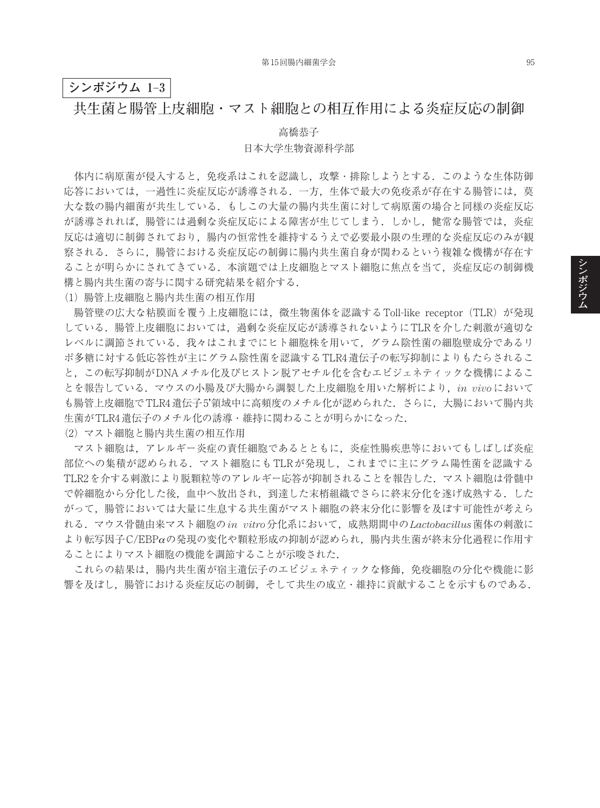### **シンポジウム 1**–**3**

## **共生菌と腸管上皮細胞・マスト細胞との相互作用による炎症反応の制御**

#### 高橋恭子

### 日本大学生物資源科学部

体内に病原菌が侵入すると,免疫系はこれを認識し,攻撃・排除しようとする.このような生体防御 応答においては,一過性に炎症反応が誘導される.一方,生体で最大の免疫系が存在する腸管には,莫 大な数の腸内細菌が共生している.もしこの大量の腸内共生菌に対して病原菌の場合と同様の炎症反応 が誘導されれば,腸管には過剰な炎症反応による障害が生じてしまう.しかし,健常な腸管では,炎症 反応は適切に制御されており,腸内の恒常性を維持するうえで必要最小限の生理的な炎症反応のみが観 察される.さらに,腸管における炎症反応の制御に腸内共生菌自身が関わるという複雑な機構が存在す ることが明らかにされてきている.本演題では上皮細胞とマスト細胞に焦点を当て,炎症反応の制御機 構と腸内共生菌の寄与に関する研究結果を紹介する.

(1)腸管上皮細胞と腸内共生菌の相互作用

腸管壁の広大な粘膜面を覆う上皮細胞には、微生物菌体を認識するToll-like receptor (TLR) が発現 している.腸管上皮細胞においては,過剰な炎症反応が誘導されないようにTLRを介した刺激が適切な レベルに調節されている.我々はこれまでにヒト細胞株を用いて,グラム陰性菌の細胞壁成分であるリ ポ多糖に対する低応答性が主にグラム陰性菌を認識するTLR4遺伝子の転写抑制によりもたらされるこ と,この転写抑制がDNAメチル化及びヒストン脱アセチル化を含むエピジェネティックな機構によるこ とを報告している.マウスの小腸及び大腸から調製した上皮細胞を用いた解析により,*in vivo*において も腸管上皮細胞でTLR4遺伝子5'領域中に高頻度のメチル化が認められた. さらに、大腸において腸内共 生菌がTLR4遺伝子のメチル化の誘導・維持に関わることが明らかになった.

(2)マスト細胞と腸内共生菌の相互作用

マスト細胞は,アレルギー炎症の責任細胞であるとともに,炎症性腸疾患等においてもしばしば炎症 部位への集積が認められる.マスト細胞にもTLRが発現し,これまでに主にグラム陽性菌を認識する TLR2を介する刺激により脱顆粒等のアレルギー応答が抑制されることを報告した. マスト細胞は骨髄中 で幹細胞から分化した後,血中へ放出され,到達した末梢組織でさらに終末分化を遂げ成熟する.した がって,腸管においては大量に生息する共生菌がマスト細胞の終末分化に影響を及ぼす可能性が考えら れる.マウス骨髄由来マスト細胞の*in vitro*分化系において,成熟期間中の*Lactobacillus*菌体の刺激に より転写因子C/EBPαの発現の変化や顆粒形成の抑制が認められ,腸内共生菌が終末分化過程に作用す ることによりマスト細胞の機能を調節することが示唆された.

これらの結果は、腸内共生菌が宿主遺伝子のエピジェネティックな修飾、免疫細胞の分化や機能に影 響を及ぼし,腸管における炎症反応の制御,そして共生の成立・維持に貢献することを示すものである.